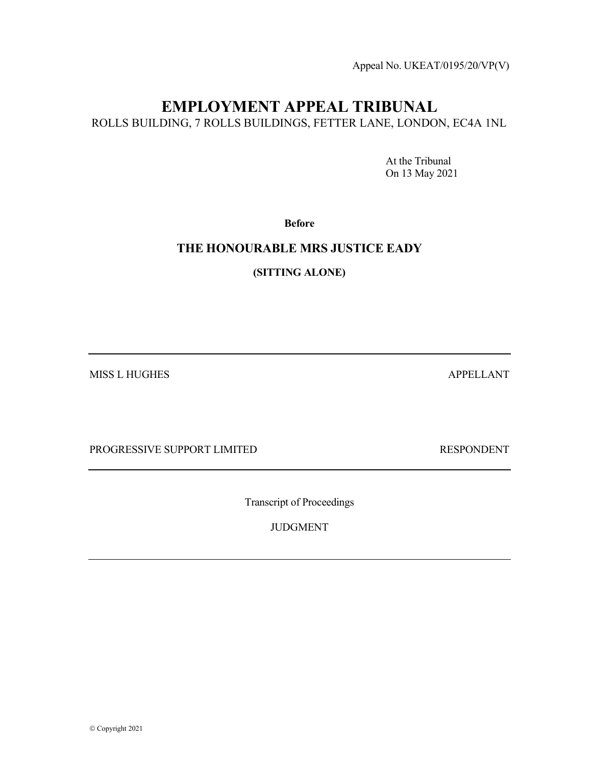Appeal No. UKEAT/0195/20/VP(V)

# EMPLOYMENT APPEAL TRIBUNAL

ROLLS BUILDING, 7 ROLLS BUILDINGS, FETTER LANE, LONDON, EC4A 1NL

 At the Tribunal On 13 May 2021

Before

### THE HONOURABLE MRS JUSTICE EADY

(SITTING ALONE)

MISS L HUGHES APPELLANT

PROGRESSIVE SUPPORT LIMITED RESPONDENT

Transcript of Proceedings

JUDGMENT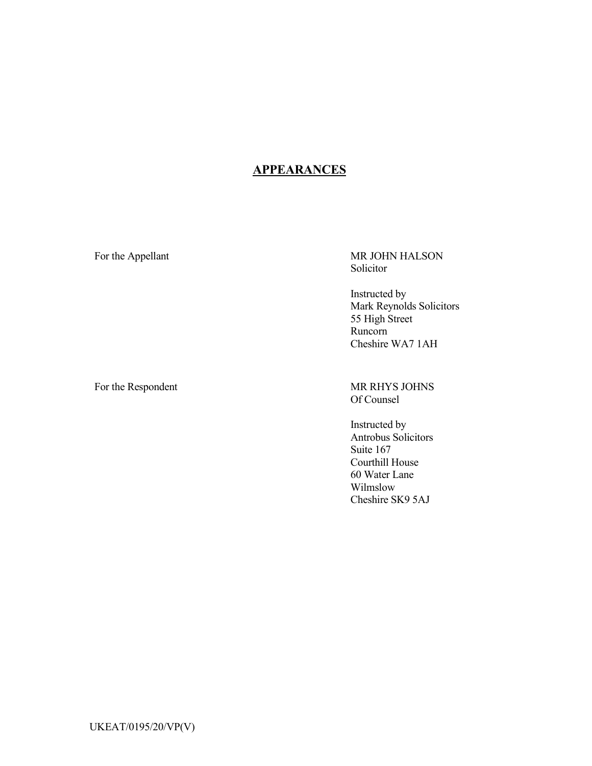## **APPEARANCES**

For the Appellant MR JOHN HALSON Solicitor

> Instructed by Mark Reynolds Solicitors 55 High Street Runcorn Cheshire WA7 1AH

For the Respondent MR RHYS JOHNS Of Counsel

> Instructed by Antrobus Solicitors Suite 167 Courthill House 60 Water Lane Wilmslow Cheshire SK9 5AJ

UKEAT/0195/20/VP(V)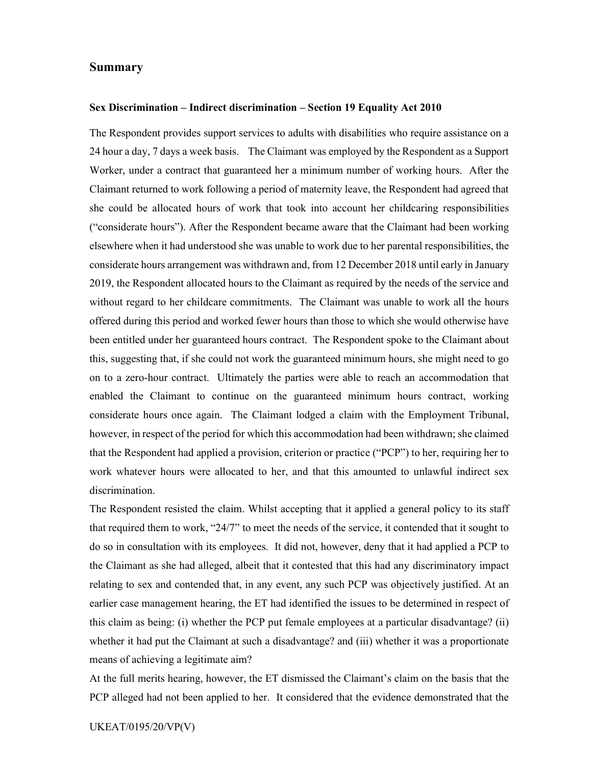### Summary

#### Sex Discrimination – Indirect discrimination – Section 19 Equality Act 2010

The Respondent provides support services to adults with disabilities who require assistance on a 24 hour a day, 7 days a week basis. The Claimant was employed by the Respondent as a Support Worker, under a contract that guaranteed her a minimum number of working hours. After the Claimant returned to work following a period of maternity leave, the Respondent had agreed that she could be allocated hours of work that took into account her childcaring responsibilities ("considerate hours"). After the Respondent became aware that the Claimant had been working elsewhere when it had understood she was unable to work due to her parental responsibilities, the considerate hours arrangement was withdrawn and, from 12 December 2018 until early in January 2019, the Respondent allocated hours to the Claimant as required by the needs of the service and without regard to her childcare commitments. The Claimant was unable to work all the hours offered during this period and worked fewer hours than those to which she would otherwise have been entitled under her guaranteed hours contract. The Respondent spoke to the Claimant about this, suggesting that, if she could not work the guaranteed minimum hours, she might need to go on to a zero-hour contract. Ultimately the parties were able to reach an accommodation that enabled the Claimant to continue on the guaranteed minimum hours contract, working considerate hours once again. The Claimant lodged a claim with the Employment Tribunal, however, in respect of the period for which this accommodation had been withdrawn; she claimed that the Respondent had applied a provision, criterion or practice ("PCP") to her, requiring her to work whatever hours were allocated to her, and that this amounted to unlawful indirect sex discrimination.

The Respondent resisted the claim. Whilst accepting that it applied a general policy to its staff that required them to work, "24/7" to meet the needs of the service, it contended that it sought to do so in consultation with its employees. It did not, however, deny that it had applied a PCP to the Claimant as she had alleged, albeit that it contested that this had any discriminatory impact relating to sex and contended that, in any event, any such PCP was objectively justified. At an earlier case management hearing, the ET had identified the issues to be determined in respect of this claim as being: (i) whether the PCP put female employees at a particular disadvantage? (ii) whether it had put the Claimant at such a disadvantage? and (iii) whether it was a proportionate means of achieving a legitimate aim?

At the full merits hearing, however, the ET dismissed the Claimant's claim on the basis that the PCP alleged had not been applied to her. It considered that the evidence demonstrated that the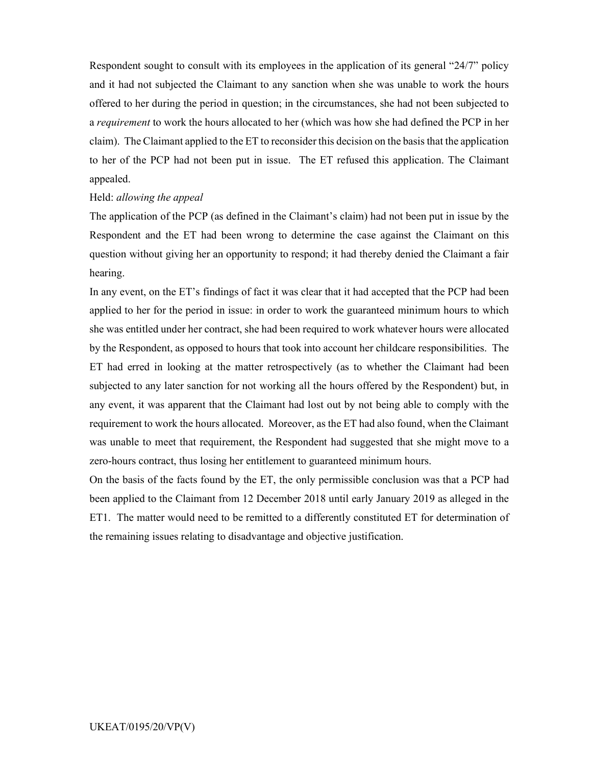Respondent sought to consult with its employees in the application of its general "24/7" policy and it had not subjected the Claimant to any sanction when she was unable to work the hours offered to her during the period in question; in the circumstances, she had not been subjected to a requirement to work the hours allocated to her (which was how she had defined the PCP in her claim). The Claimant applied to the ET to reconsider this decision on the basis that the application to her of the PCP had not been put in issue. The ET refused this application. The Claimant appealed.

#### Held: allowing the appeal

The application of the PCP (as defined in the Claimant's claim) had not been put in issue by the Respondent and the ET had been wrong to determine the case against the Claimant on this question without giving her an opportunity to respond; it had thereby denied the Claimant a fair hearing.

In any event, on the ET's findings of fact it was clear that it had accepted that the PCP had been applied to her for the period in issue: in order to work the guaranteed minimum hours to which she was entitled under her contract, she had been required to work whatever hours were allocated by the Respondent, as opposed to hours that took into account her childcare responsibilities. The ET had erred in looking at the matter retrospectively (as to whether the Claimant had been subjected to any later sanction for not working all the hours offered by the Respondent) but, in any event, it was apparent that the Claimant had lost out by not being able to comply with the requirement to work the hours allocated. Moreover, as the ET had also found, when the Claimant was unable to meet that requirement, the Respondent had suggested that she might move to a zero-hours contract, thus losing her entitlement to guaranteed minimum hours.

On the basis of the facts found by the ET, the only permissible conclusion was that a PCP had been applied to the Claimant from 12 December 2018 until early January 2019 as alleged in the ET1. The matter would need to be remitted to a differently constituted ET for determination of the remaining issues relating to disadvantage and objective justification.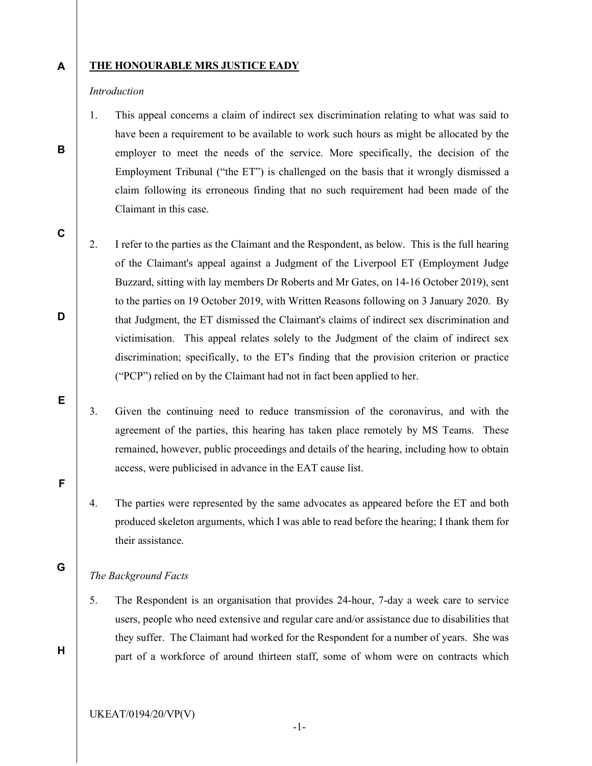#### A THE HONOURABLE MRS JUSTICE EADY

#### Introduction

B

C

D

E

F

G

H

1. This appeal concerns a claim of indirect sex discrimination relating to what was said to have been a requirement to be available to work such hours as might be allocated by the employer to meet the needs of the service. More specifically, the decision of the Employment Tribunal ("the ET") is challenged on the basis that it wrongly dismissed a claim following its erroneous finding that no such requirement had been made of the Claimant in this case.

- 2. I refer to the parties as the Claimant and the Respondent, as below. This is the full hearing of the Claimant's appeal against a Judgment of the Liverpool ET (Employment Judge Buzzard, sitting with lay members Dr Roberts and Mr Gates, on 14-16 October 2019), sent to the parties on 19 October 2019, with Written Reasons following on 3 January 2020. By that Judgment, the ET dismissed the Claimant's claims of indirect sex discrimination and victimisation. This appeal relates solely to the Judgment of the claim of indirect sex discrimination; specifically, to the ET's finding that the provision criterion or practice ("PCP") relied on by the Claimant had not in fact been applied to her.
- 3. Given the continuing need to reduce transmission of the coronavirus, and with the agreement of the parties, this hearing has taken place remotely by MS Teams. These remained, however, public proceedings and details of the hearing, including how to obtain access, were publicised in advance in the EAT cause list.
- 4. The parties were represented by the same advocates as appeared before the ET and both produced skeleton arguments, which I was able to read before the hearing; I thank them for their assistance.

### The Background Facts

5. The Respondent is an organisation that provides 24-hour, 7-day a week care to service users, people who need extensive and regular care and/or assistance due to disabilities that they suffer. The Claimant had worked for the Respondent for a number of years. She was part of a workforce of around thirteen staff, some of whom were on contracts which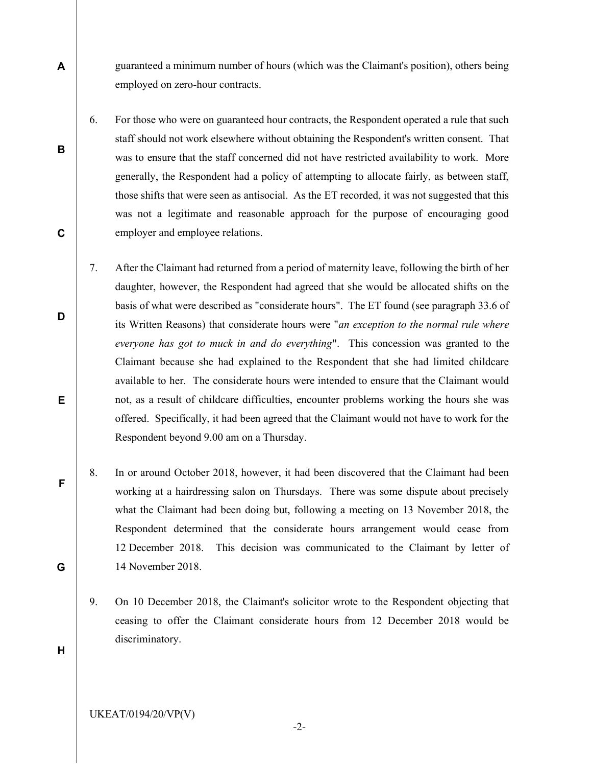guaranteed a minimum number of hours (which was the Claimant's position), others being employed on zero-hour contracts.

- 6. For those who were on guaranteed hour contracts, the Respondent operated a rule that such staff should not work elsewhere without obtaining the Respondent's written consent. That was to ensure that the staff concerned did not have restricted availability to work. More generally, the Respondent had a policy of attempting to allocate fairly, as between staff, those shifts that were seen as antisocial. As the ET recorded, it was not suggested that this was not a legitimate and reasonable approach for the purpose of encouraging good employer and employee relations.
- 7. After the Claimant had returned from a period of maternity leave, following the birth of her daughter, however, the Respondent had agreed that she would be allocated shifts on the basis of what were described as "considerate hours". The ET found (see paragraph 33.6 of its Written Reasons) that considerate hours were "an exception to the normal rule where everyone has got to muck in and do everything". This concession was granted to the Claimant because she had explained to the Respondent that she had limited childcare available to her. The considerate hours were intended to ensure that the Claimant would not, as a result of childcare difficulties, encounter problems working the hours she was offered. Specifically, it had been agreed that the Claimant would not have to work for the Respondent beyond 9.00 am on a Thursday.
- 8. In or around October 2018, however, it had been discovered that the Claimant had been working at a hairdressing salon on Thursdays. There was some dispute about precisely what the Claimant had been doing but, following a meeting on 13 November 2018, the Respondent determined that the considerate hours arrangement would cease from 12 December 2018. This decision was communicated to the Claimant by letter of 14 November 2018.
	- 9. On 10 December 2018, the Claimant's solicitor wrote to the Respondent objecting that ceasing to offer the Claimant considerate hours from 12 December 2018 would be discriminatory.
- H

A

B

C

D

E

F

G

-2-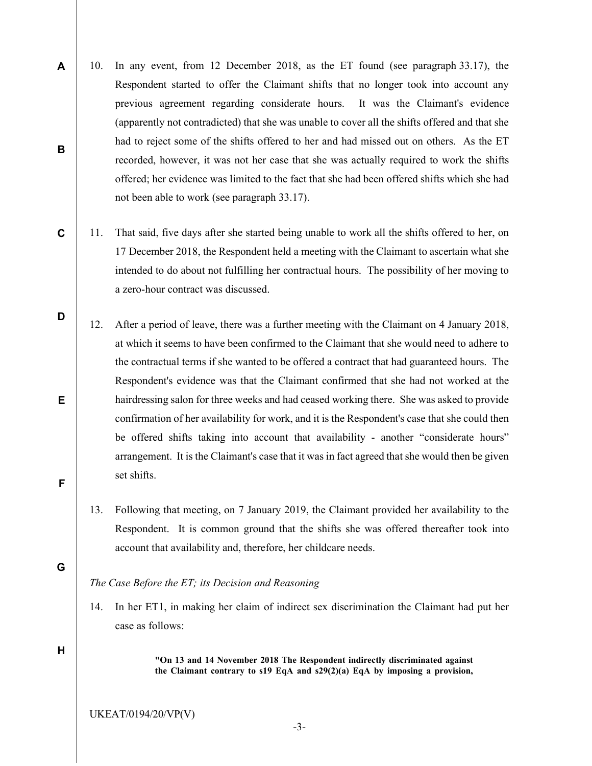- A B 10. In any event, from 12 December 2018, as the ET found (see paragraph 33.17), the Respondent started to offer the Claimant shifts that no longer took into account any previous agreement regarding considerate hours. It was the Claimant's evidence (apparently not contradicted) that she was unable to cover all the shifts offered and that she had to reject some of the shifts offered to her and had missed out on others. As the ET recorded, however, it was not her case that she was actually required to work the shifts offered; her evidence was limited to the fact that she had been offered shifts which she had not been able to work (see paragraph 33.17).
- C 11. That said, five days after she started being unable to work all the shifts offered to her, on 17 December 2018, the Respondent held a meeting with the Claimant to ascertain what she intended to do about not fulfilling her contractual hours. The possibility of her moving to a zero-hour contract was discussed.
	- 12. After a period of leave, there was a further meeting with the Claimant on 4 January 2018, at which it seems to have been confirmed to the Claimant that she would need to adhere to the contractual terms if she wanted to be offered a contract that had guaranteed hours. The Respondent's evidence was that the Claimant confirmed that she had not worked at the hairdressing salon for three weeks and had ceased working there. She was asked to provide confirmation of her availability for work, and it is the Respondent's case that she could then be offered shifts taking into account that availability - another "considerate hours" arrangement. It is the Claimant's case that it was in fact agreed that she would then be given set shifts.
		- 13. Following that meeting, on 7 January 2019, the Claimant provided her availability to the Respondent. It is common ground that the shifts she was offered thereafter took into account that availability and, therefore, her childcare needs.

#### The Case Before the ET; its Decision and Reasoning

14. In her ET1, in making her claim of indirect sex discrimination the Claimant had put her case as follows:

H

D

E

F

G

"On 13 and 14 November 2018 The Respondent indirectly discriminated against the Claimant contrary to s19 EqA and s29(2)(a) EqA by imposing a provision,

UKEAT/0194/20/VP(V)

-3-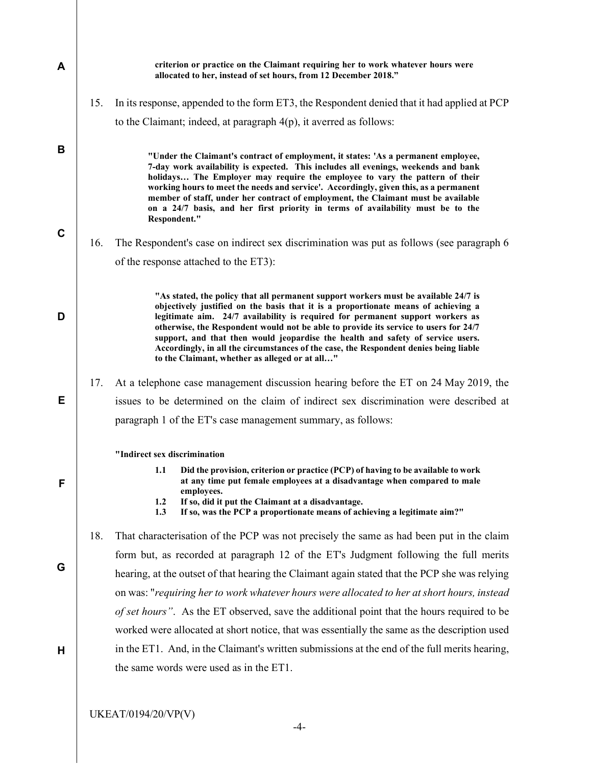| A           |     | criterion or practice on the Claimant requiring her to work whatever hours were<br>allocated to her, instead of set hours, from 12 December 2018."                                                                                                                                                                                                                                                                                                                                                                                                                                |
|-------------|-----|-----------------------------------------------------------------------------------------------------------------------------------------------------------------------------------------------------------------------------------------------------------------------------------------------------------------------------------------------------------------------------------------------------------------------------------------------------------------------------------------------------------------------------------------------------------------------------------|
|             | 15. | In its response, appended to the form ET3, the Respondent denied that it had applied at PCP                                                                                                                                                                                                                                                                                                                                                                                                                                                                                       |
|             |     | to the Claimant; indeed, at paragraph $4(p)$ , it averred as follows:                                                                                                                                                                                                                                                                                                                                                                                                                                                                                                             |
| B           |     | "Under the Claimant's contract of employment, it states: 'As a permanent employee,<br>7-day work availability is expected. This includes all evenings, weekends and bank<br>holidays The Employer may require the employee to vary the pattern of their<br>working hours to meet the needs and service'. Accordingly, given this, as a permanent<br>member of staff, under her contract of employment, the Claimant must be available<br>on a 24/7 basis, and her first priority in terms of availability must be to the<br>Respondent."                                          |
| $\mathbf C$ | 16. | The Respondent's case on indirect sex discrimination was put as follows (see paragraph 6                                                                                                                                                                                                                                                                                                                                                                                                                                                                                          |
|             |     | of the response attached to the ET3):                                                                                                                                                                                                                                                                                                                                                                                                                                                                                                                                             |
| D           |     | "As stated, the policy that all permanent support workers must be available 24/7 is<br>objectively justified on the basis that it is a proportionate means of achieving a<br>legitimate aim. 24/7 availability is required for permanent support workers as<br>otherwise, the Respondent would not be able to provide its service to users for 24/7<br>support, and that then would jeopardise the health and safety of service users.<br>Accordingly, in all the circumstances of the case, the Respondent denies being liable<br>to the Claimant, whether as alleged or at all" |
|             | 17. | At a telephone case management discussion hearing before the ET on 24 May 2019, the                                                                                                                                                                                                                                                                                                                                                                                                                                                                                               |
| Е           |     | issues to be determined on the claim of indirect sex discrimination were described at                                                                                                                                                                                                                                                                                                                                                                                                                                                                                             |
|             |     | paragraph 1 of the ET's case management summary, as follows:                                                                                                                                                                                                                                                                                                                                                                                                                                                                                                                      |
|             |     | "Indirect sex discrimination                                                                                                                                                                                                                                                                                                                                                                                                                                                                                                                                                      |
| F           |     | Did the provision, criterion or practice (PCP) of having to be available to work<br>1.1<br>at any time put female employees at a disadvantage when compared to male<br>employees.<br>1.2<br>If so, did it put the Claimant at a disadvantage.<br>If so, was the PCP a proportionate means of achieving a legitimate aim?"<br>1.3                                                                                                                                                                                                                                                  |
|             | 18. | That characterisation of the PCP was not precisely the same as had been put in the claim                                                                                                                                                                                                                                                                                                                                                                                                                                                                                          |
|             |     | form but, as recorded at paragraph 12 of the ET's Judgment following the full merits                                                                                                                                                                                                                                                                                                                                                                                                                                                                                              |
| G           |     | hearing, at the outset of that hearing the Claimant again stated that the PCP she was relying                                                                                                                                                                                                                                                                                                                                                                                                                                                                                     |
|             |     | on was: "requiring her to work whatever hours were allocated to her at short hours, instead                                                                                                                                                                                                                                                                                                                                                                                                                                                                                       |
|             |     | of set hours". As the ET observed, save the additional point that the hours required to be                                                                                                                                                                                                                                                                                                                                                                                                                                                                                        |
|             |     | worked were allocated at short notice, that was essentially the same as the description used                                                                                                                                                                                                                                                                                                                                                                                                                                                                                      |
| Н           |     | in the ET1. And, in the Claimant's written submissions at the end of the full merits hearing,                                                                                                                                                                                                                                                                                                                                                                                                                                                                                     |
|             |     | the same words were used as in the ET1.                                                                                                                                                                                                                                                                                                                                                                                                                                                                                                                                           |
|             |     |                                                                                                                                                                                                                                                                                                                                                                                                                                                                                                                                                                                   |
|             |     | UKEAT/0194/20/VP(V)                                                                                                                                                                                                                                                                                                                                                                                                                                                                                                                                                               |

-4-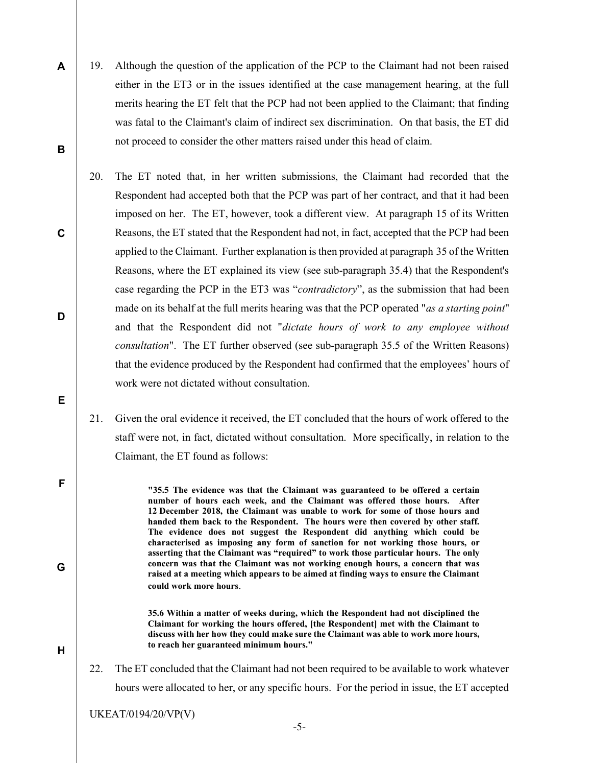- 19. Although the question of the application of the PCP to the Claimant had not been raised either in the ET3 or in the issues identified at the case management hearing, at the full merits hearing the ET felt that the PCP had not been applied to the Claimant; that finding was fatal to the Claimant's claim of indirect sex discrimination. On that basis, the ET did not proceed to consider the other matters raised under this head of claim.
- 20. The ET noted that, in her written submissions, the Claimant had recorded that the Respondent had accepted both that the PCP was part of her contract, and that it had been imposed on her. The ET, however, took a different view. At paragraph 15 of its Written Reasons, the ET stated that the Respondent had not, in fact, accepted that the PCP had been applied to the Claimant. Further explanation is then provided at paragraph 35 of the Written Reasons, where the ET explained its view (see sub-paragraph 35.4) that the Respondent's case regarding the PCP in the ET3 was "contradictory", as the submission that had been made on its behalf at the full merits hearing was that the PCP operated "as a starting point" and that the Respondent did not "dictate hours of work to any employee without consultation". The ET further observed (see sub-paragraph 35.5 of the Written Reasons) that the evidence produced by the Respondent had confirmed that the employees' hours of work were not dictated without consultation.
	- 21. Given the oral evidence it received, the ET concluded that the hours of work offered to the staff were not, in fact, dictated without consultation. More specifically, in relation to the Claimant, the ET found as follows:

"35.5 The evidence was that the Claimant was guaranteed to be offered a certain number of hours each week, and the Claimant was offered those hours. After 12 December 2018, the Claimant was unable to work for some of those hours and handed them back to the Respondent. The hours were then covered by other staff. The evidence does not suggest the Respondent did anything which could be characterised as imposing any form of sanction for not working those hours, or asserting that the Claimant was "required" to work those particular hours. The only concern was that the Claimant was not working enough hours, a concern that was raised at a meeting which appears to be aimed at finding ways to ensure the Claimant could work more hours.

 35.6 Within a matter of weeks during, which the Respondent had not disciplined the Claimant for working the hours offered, [the Respondent] met with the Claimant to discuss with her how they could make sure the Claimant was able to work more hours, to reach her guaranteed minimum hours."

22. The ET concluded that the Claimant had not been required to be available to work whatever hours were allocated to her, or any specific hours. For the period in issue, the ET accepted

UKEAT/0194/20/VP(V)

A

B

C

D

E

F

G

H

-5-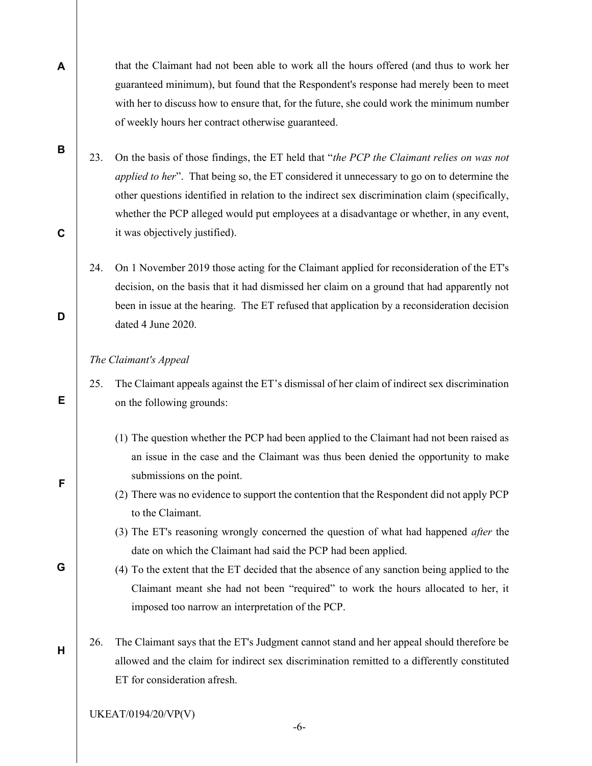that the Claimant had not been able to work all the hours offered (and thus to work her guaranteed minimum), but found that the Respondent's response had merely been to meet with her to discuss how to ensure that, for the future, she could work the minimum number of weekly hours her contract otherwise guaranteed.

- 23. On the basis of those findings, the ET held that "the PCP the Claimant relies on was not applied to her". That being so, the ET considered it unnecessary to go on to determine the other questions identified in relation to the indirect sex discrimination claim (specifically, whether the PCP alleged would put employees at a disadvantage or whether, in any event, it was objectively justified).
- 24. On 1 November 2019 those acting for the Claimant applied for reconsideration of the ET's decision, on the basis that it had dismissed her claim on a ground that had apparently not been in issue at the hearing. The ET refused that application by a reconsideration decision dated 4 June 2020.

#### The Claimant's Appeal

- 25. The Claimant appeals against the ET's dismissal of her claim of indirect sex discrimination on the following grounds:
	- (1) The question whether the PCP had been applied to the Claimant had not been raised as an issue in the case and the Claimant was thus been denied the opportunity to make submissions on the point.
	- (2) There was no evidence to support the contention that the Respondent did not apply PCP to the Claimant.
	- (3) The ET's reasoning wrongly concerned the question of what had happened after the date on which the Claimant had said the PCP had been applied.
	- (4) To the extent that the ET decided that the absence of any sanction being applied to the Claimant meant she had not been "required" to work the hours allocated to her, it imposed too narrow an interpretation of the PCP.
- 26. The Claimant says that the ET's Judgment cannot stand and her appeal should therefore be allowed and the claim for indirect sex discrimination remitted to a differently constituted ET for consideration afresh.

UKEAT/0194/20/VP(V)

B

A

D

C

F

G

E

H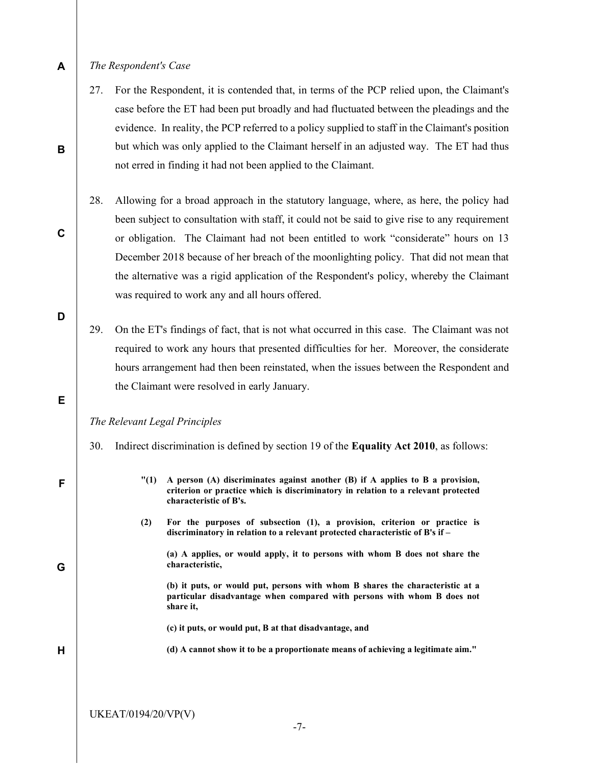#### A The Respondent's Case

B

C

D

E

F

G

H

- 27. For the Respondent, it is contended that, in terms of the PCP relied upon, the Claimant's case before the ET had been put broadly and had fluctuated between the pleadings and the evidence. In reality, the PCP referred to a policy supplied to staff in the Claimant's position but which was only applied to the Claimant herself in an adjusted way. The ET had thus not erred in finding it had not been applied to the Claimant.
- 28. Allowing for a broad approach in the statutory language, where, as here, the policy had been subject to consultation with staff, it could not be said to give rise to any requirement or obligation. The Claimant had not been entitled to work "considerate" hours on 13 December 2018 because of her breach of the moonlighting policy. That did not mean that the alternative was a rigid application of the Respondent's policy, whereby the Claimant was required to work any and all hours offered.
	- 29. On the ET's findings of fact, that is not what occurred in this case. The Claimant was not required to work any hours that presented difficulties for her. Moreover, the considerate hours arrangement had then been reinstated, when the issues between the Respondent and the Claimant were resolved in early January.

The Relevant Legal Principles

- 30. Indirect discrimination is defined by section 19 of the Equality Act 2010, as follows:
	- "(1) A person (A) discriminates against another (B) if A applies to B a provision, criterion or practice which is discriminatory in relation to a relevant protected characteristic of B's.
	- (2) For the purposes of subsection (1), a provision, criterion or practice is discriminatory in relation to a relevant protected characteristic of B's if –

 (a) A applies, or would apply, it to persons with whom B does not share the characteristic,

 (b) it puts, or would put, persons with whom B shares the characteristic at a particular disadvantage when compared with persons with whom B does not share it,

- (c) it puts, or would put, B at that disadvantage, and
- (d) A cannot show it to be a proportionate means of achieving a legitimate aim."

UKEAT/0194/20/VP(V)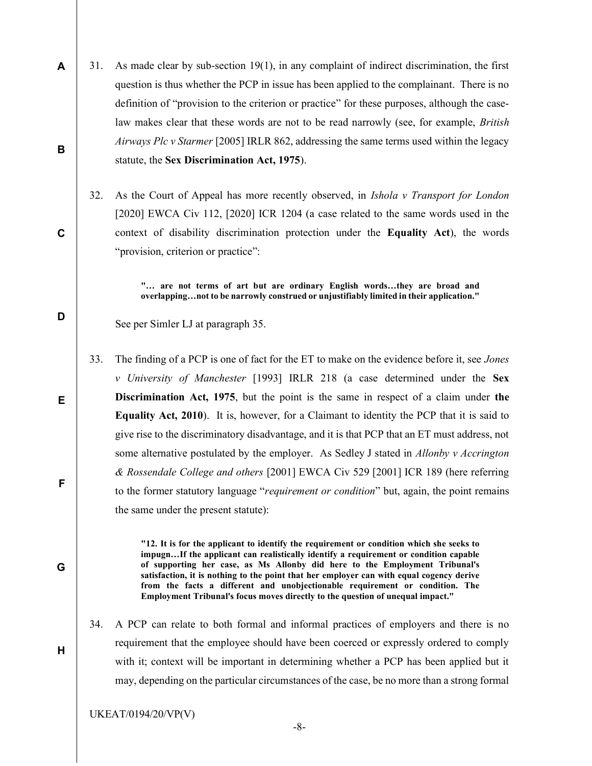- A 31. As made clear by sub-section 19(1), in any complaint of indirect discrimination, the first question is thus whether the PCP in issue has been applied to the complainant. There is no definition of "provision to the criterion or practice" for these purposes, although the caselaw makes clear that these words are not to be read narrowly (see, for example, *British* Airways Plc v Starmer [2005] IRLR 862, addressing the same terms used within the legacy statute, the Sex Discrimination Act, 1975).
	- 32. As the Court of Appeal has more recently observed, in *Ishola v Transport for London* [2020] EWCA Civ 112, [2020] ICR 1204 (a case related to the same words used in the context of disability discrimination protection under the Equality Act), the words "provision, criterion or practice":

 "… are not terms of art but are ordinary English words…they are broad and overlapping…not to be narrowly construed or unjustifiably limited in their application."

See per Simler LJ at paragraph 35.

B

C

D

E

F

G

H

33. The finding of a PCP is one of fact for the ET to make on the evidence before it, see Jones v University of Manchester [1993] IRLR 218 (a case determined under the Sex Discrimination Act, 1975, but the point is the same in respect of a claim under the Equality Act, 2010). It is, however, for a Claimant to identity the PCP that it is said to give rise to the discriminatory disadvantage, and it is that PCP that an ET must address, not some alternative postulated by the employer. As Sedley J stated in Allonby v Accrington & Rossendale College and others [2001] EWCA Civ 529 [2001] ICR 189 (here referring to the former statutory language "*requirement or condition*" but, again, the point remains the same under the present statute):

> "12. It is for the applicant to identify the requirement or condition which she seeks to impugn…If the applicant can realistically identify a requirement or condition capable of supporting her case, as Ms Allonby did here to the Employment Tribunal's satisfaction, it is nothing to the point that her employer can with equal cogency derive from the facts a different and unobjectionable requirement or condition. The Employment Tribunal's focus moves directly to the question of unequal impact."

34. A PCP can relate to both formal and informal practices of employers and there is no requirement that the employee should have been coerced or expressly ordered to comply with it; context will be important in determining whether a PCP has been applied but it may, depending on the particular circumstances of the case, be no more than a strong formal

UKEAT/0194/20/VP(V)

-8-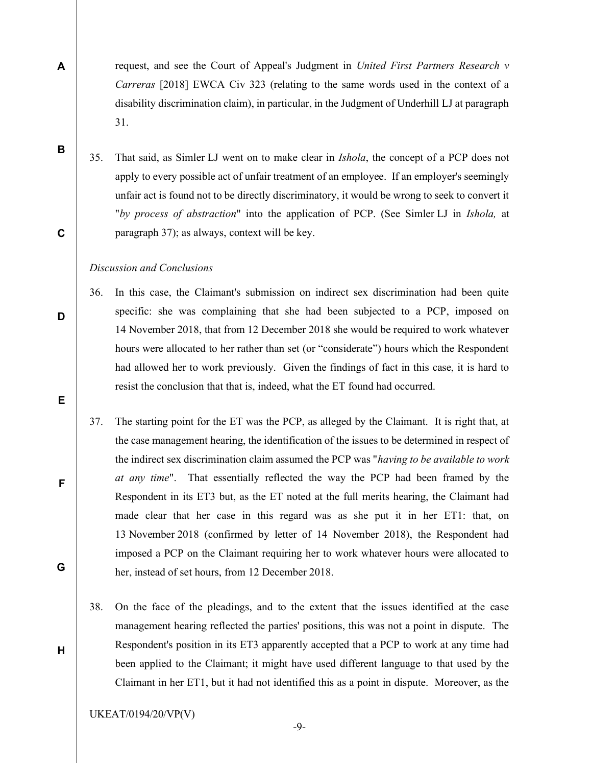request, and see the Court of Appeal's Judgment in United First Partners Research v Carreras [2018] EWCA Civ 323 (relating to the same words used in the context of a disability discrimination claim), in particular, in the Judgment of Underhill LJ at paragraph 31.

35. That said, as Simler LJ went on to make clear in Ishola, the concept of a PCP does not apply to every possible act of unfair treatment of an employee. If an employer's seemingly unfair act is found not to be directly discriminatory, it would be wrong to seek to convert it "by process of abstraction" into the application of PCP. (See Simler LJ in Ishola, at paragraph 37); as always, context will be key.

#### Discussion and Conclusions

- 36. In this case, the Claimant's submission on indirect sex discrimination had been quite specific: she was complaining that she had been subjected to a PCP, imposed on 14 November 2018, that from 12 December 2018 she would be required to work whatever hours were allocated to her rather than set (or "considerate") hours which the Respondent had allowed her to work previously. Given the findings of fact in this case, it is hard to resist the conclusion that that is, indeed, what the ET found had occurred.
- 37. The starting point for the ET was the PCP, as alleged by the Claimant. It is right that, at the case management hearing, the identification of the issues to be determined in respect of the indirect sex discrimination claim assumed the PCP was "having to be available to work at any time". That essentially reflected the way the PCP had been framed by the Respondent in its ET3 but, as the ET noted at the full merits hearing, the Claimant had made clear that her case in this regard was as she put it in her ET1: that, on 13 November 2018 (confirmed by letter of 14 November 2018), the Respondent had imposed a PCP on the Claimant requiring her to work whatever hours were allocated to her, instead of set hours, from 12 December 2018.
- 38. On the face of the pleadings, and to the extent that the issues identified at the case management hearing reflected the parties' positions, this was not a point in dispute. The Respondent's position in its ET3 apparently accepted that a PCP to work at any time had been applied to the Claimant; it might have used different language to that used by the Claimant in her ET1, but it had not identified this as a point in dispute. Moreover, as the

UKEAT/0194/20/VP(V)

C

D

B

A

E

F

H

G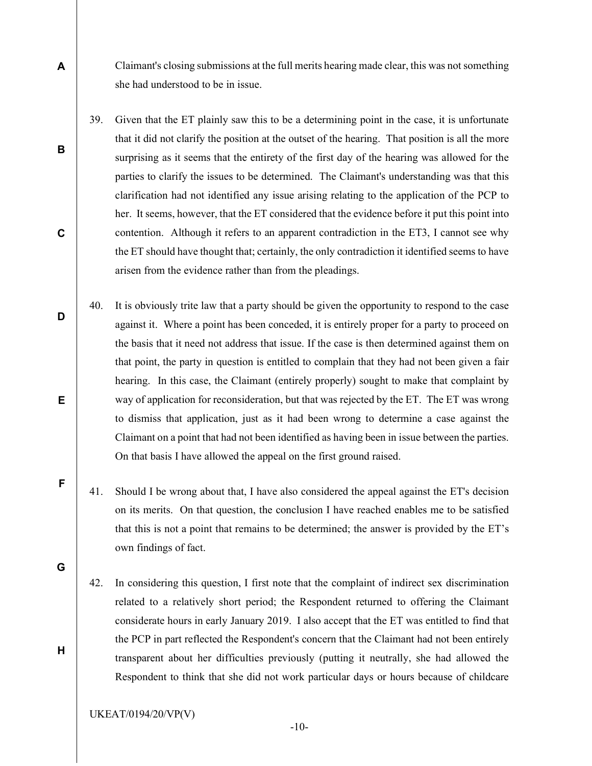Claimant's closing submissions at the full merits hearing made clear, this was not something she had understood to be in issue.

- 39. Given that the ET plainly saw this to be a determining point in the case, it is unfortunate that it did not clarify the position at the outset of the hearing. That position is all the more surprising as it seems that the entirety of the first day of the hearing was allowed for the parties to clarify the issues to be determined. The Claimant's understanding was that this clarification had not identified any issue arising relating to the application of the PCP to her. It seems, however, that the ET considered that the evidence before it put this point into contention. Although it refers to an apparent contradiction in the ET3, I cannot see why the ET should have thought that; certainly, the only contradiction it identified seems to have arisen from the evidence rather than from the pleadings.
- 40. It is obviously trite law that a party should be given the opportunity to respond to the case against it. Where a point has been conceded, it is entirely proper for a party to proceed on the basis that it need not address that issue. If the case is then determined against them on that point, the party in question is entitled to complain that they had not been given a fair hearing. In this case, the Claimant (entirely properly) sought to make that complaint by way of application for reconsideration, but that was rejected by the ET. The ET was wrong to dismiss that application, just as it had been wrong to determine a case against the Claimant on a point that had not been identified as having been in issue between the parties. On that basis I have allowed the appeal on the first ground raised.
	- 41. Should I be wrong about that, I have also considered the appeal against the ET's decision on its merits. On that question, the conclusion I have reached enables me to be satisfied that this is not a point that remains to be determined; the answer is provided by the ET's own findings of fact.
	- 42. In considering this question, I first note that the complaint of indirect sex discrimination related to a relatively short period; the Respondent returned to offering the Claimant considerate hours in early January 2019. I also accept that the ET was entitled to find that the PCP in part reflected the Respondent's concern that the Claimant had not been entirely transparent about her difficulties previously (putting it neutrally, she had allowed the Respondent to think that she did not work particular days or hours because of childcare
	- UKEAT/0194/20/VP(V)

A

B

C

D

E

F

G

H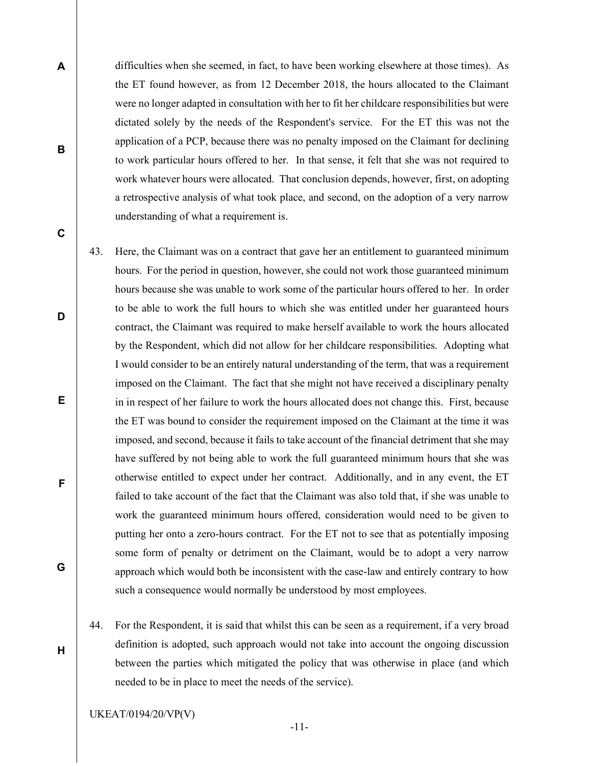difficulties when she seemed, in fact, to have been working elsewhere at those times). As the ET found however, as from 12 December 2018, the hours allocated to the Claimant were no longer adapted in consultation with her to fit her childcare responsibilities but were dictated solely by the needs of the Respondent's service. For the ET this was not the application of a PCP, because there was no penalty imposed on the Claimant for declining to work particular hours offered to her. In that sense, it felt that she was not required to work whatever hours were allocated. That conclusion depends, however, first, on adopting a retrospective analysis of what took place, and second, on the adoption of a very narrow understanding of what a requirement is.

43. Here, the Claimant was on a contract that gave her an entitlement to guaranteed minimum hours. For the period in question, however, she could not work those guaranteed minimum hours because she was unable to work some of the particular hours offered to her. In order to be able to work the full hours to which she was entitled under her guaranteed hours contract, the Claimant was required to make herself available to work the hours allocated by the Respondent, which did not allow for her childcare responsibilities. Adopting what I would consider to be an entirely natural understanding of the term, that was a requirement imposed on the Claimant. The fact that she might not have received a disciplinary penalty in in respect of her failure to work the hours allocated does not change this. First, because the ET was bound to consider the requirement imposed on the Claimant at the time it was imposed, and second, because it fails to take account of the financial detriment that she may have suffered by not being able to work the full guaranteed minimum hours that she was otherwise entitled to expect under her contract. Additionally, and in any event, the ET failed to take account of the fact that the Claimant was also told that, if she was unable to work the guaranteed minimum hours offered, consideration would need to be given to putting her onto a zero-hours contract. For the ET not to see that as potentially imposing some form of penalty or detriment on the Claimant, would be to adopt a very narrow approach which would both be inconsistent with the case-law and entirely contrary to how such a consequence would normally be understood by most employees.

44. For the Respondent, it is said that whilst this can be seen as a requirement, if a very broad definition is adopted, such approach would not take into account the ongoing discussion between the parties which mitigated the policy that was otherwise in place (and which needed to be in place to meet the needs of the service).

UKEAT/0194/20/VP(V)

A

B

C

D

E

F

G

H

-11-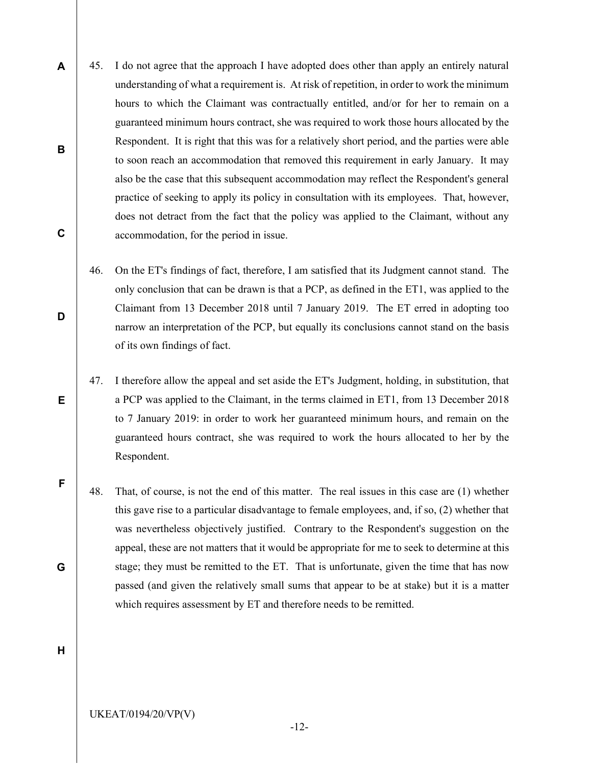- 45. I do not agree that the approach I have adopted does other than apply an entirely natural understanding of what a requirement is. At risk of repetition, in order to work the minimum hours to which the Claimant was contractually entitled, and/or for her to remain on a guaranteed minimum hours contract, she was required to work those hours allocated by the Respondent. It is right that this was for a relatively short period, and the parties were able to soon reach an accommodation that removed this requirement in early January. It may also be the case that this subsequent accommodation may reflect the Respondent's general practice of seeking to apply its policy in consultation with its employees. That, however, does not detract from the fact that the policy was applied to the Claimant, without any accommodation, for the period in issue.
	- 46. On the ET's findings of fact, therefore, I am satisfied that its Judgment cannot stand. The only conclusion that can be drawn is that a PCP, as defined in the ET1, was applied to the Claimant from 13 December 2018 until 7 January 2019. The ET erred in adopting too narrow an interpretation of the PCP, but equally its conclusions cannot stand on the basis of its own findings of fact.
	- 47. I therefore allow the appeal and set aside the ET's Judgment, holding, in substitution, that a PCP was applied to the Claimant, in the terms claimed in ET1, from 13 December 2018 to 7 January 2019: in order to work her guaranteed minimum hours, and remain on the guaranteed hours contract, she was required to work the hours allocated to her by the Respondent.
	- 48. That, of course, is not the end of this matter. The real issues in this case are (1) whether this gave rise to a particular disadvantage to female employees, and, if so, (2) whether that was nevertheless objectively justified. Contrary to the Respondent's suggestion on the appeal, these are not matters that it would be appropriate for me to seek to determine at this stage; they must be remitted to the ET. That is unfortunate, given the time that has now passed (and given the relatively small sums that appear to be at stake) but it is a matter which requires assessment by ET and therefore needs to be remitted.

H

A

B

C

D

E

F

G

UKEAT/0194/20/VP(V)